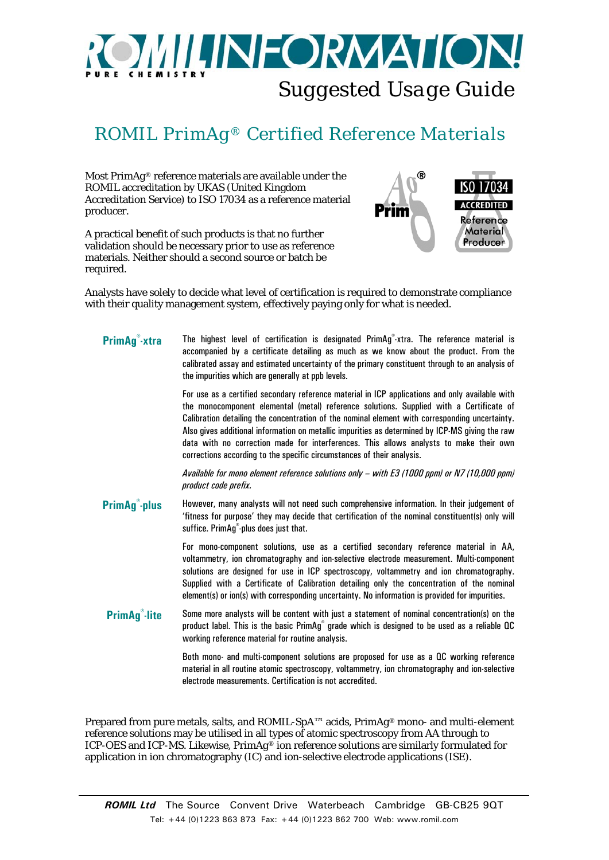## **MILINFORMATION:** *Suggested Usage Guide*

## *ROMIL PrimAg® Certified Reference Materials*

Most PrimAg® reference materials are available under the ROMIL accreditation by UKAS (United Kingdom Accreditation Service) to ISO 17034 as a reference material producer.

A practical benefit of such products is that no further validation should be necessary prior to use as reference materials. Neither should a second source or batch be required.



Analysts have solely to decide what level of certification is required to demonstrate compliance with their quality management system, effectively paying only for what is needed.

| PrimAg <sup>®</sup> -xtra      | The highest level of certification is designated PrimAg <sup>®</sup> -xtra. The reference material is<br>accompanied by a certificate detailing as much as we know about the product. From the<br>calibrated assay and estimated uncertainty of the primary constituent through to an analysis of<br>the impurities which are generally at ppb levels.                                                                                                                                                                                                              |
|--------------------------------|---------------------------------------------------------------------------------------------------------------------------------------------------------------------------------------------------------------------------------------------------------------------------------------------------------------------------------------------------------------------------------------------------------------------------------------------------------------------------------------------------------------------------------------------------------------------|
|                                | For use as a certified secondary reference material in ICP applications and only available with<br>the monocomponent elemental (metal) reference solutions. Supplied with a Certificate of<br>Calibration detailing the concentration of the nominal element with corresponding uncertainty.<br>Also gives additional information on metallic impurities as determined by ICP-MS giving the raw<br>data with no correction made for interferences. This allows analysts to make their own<br>corrections according to the specific circumstances of their analysis. |
|                                | Available for mono element reference solutions only - with E3 (1000 ppm) or N7 (10,000 ppm)<br>product code prefix.                                                                                                                                                                                                                                                                                                                                                                                                                                                 |
| <b>PrimAg<sup>®</sup>-plus</b> | However, many analysts will not need such comprehensive information. In their judgement of<br>'fitness for purpose' they may decide that certification of the nominal constituent(s) only will<br>suffice. PrimAg <sup>®</sup> -plus does just that.                                                                                                                                                                                                                                                                                                                |
|                                | For mono-component solutions, use as a certified secondary reference material in AA,<br>voltammetry, ion chromatography and ion-selective electrode measurement. Multi-component<br>solutions are designed for use in ICP spectroscopy, voltammetry and ion chromatography.<br>Supplied with a Certificate of Calibration detailing only the concentration of the nominal<br>element(s) or ion(s) with corresponding uncertainty. No information is provided for impurities.                                                                                        |
| <b>PrimAg<sup>®</sup>-lite</b> | Some more analysts will be content with just a statement of nominal concentration(s) on the<br>product label. This is the basic PrimAg <sup>®</sup> grade which is designed to be used as a reliable QC<br>working reference material for routine analysis.                                                                                                                                                                                                                                                                                                         |
|                                | Both mono- and multi-component solutions are proposed for use as a QC working reference                                                                                                                                                                                                                                                                                                                                                                                                                                                                             |

material in all routine atomic spectroscopy, voltammetry, ion chromatography and ion-selective electrode measurements. Certification is not accredited.

Prepared from pure metals, salts, and ROMIL-SpA™ acids, PrimAg® mono- and multi-element reference solutions may be utilised in all types of atomic spectroscopy from AA through to ICP-OES and ICP-MS. Likewise, PrimAg® ion reference solutions are similarly formulated for application in ion chromatography (IC) and ion-selective electrode applications (ISE).